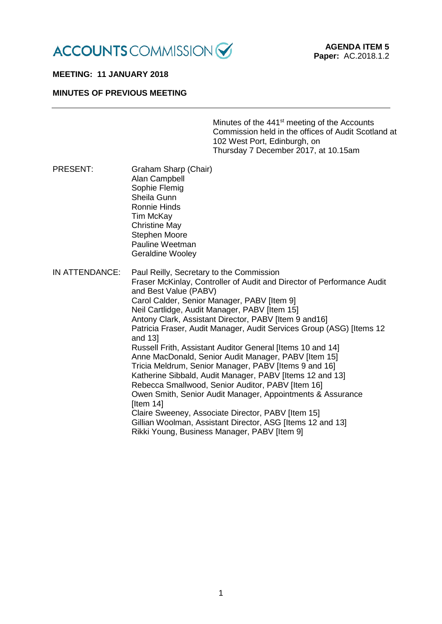

# **MEETING: 11 JANUARY 2018**

### **MINUTES OF PREVIOUS MEETING**

Minutes of the 441<sup>st</sup> meeting of the Accounts Commission held in the offices of Audit Scotland at 102 West Port, Edinburgh, on Thursday 7 December 2017, at 10.15am

PRESENT: Graham Sharp (Chair) Alan Campbell Sophie Flemig Sheila Gunn Ronnie Hinds Tim McKay Christine May Stephen Moore Pauline Weetman Geraldine Wooley IN ATTENDANCE: Paul Reilly, Secretary to the Commission Fraser McKinlay, Controller of Audit and Director of Performance Audit and Best Value (PABV) Carol Calder, Senior Manager, PABV [Item 9] Neil Cartlidge, Audit Manager, PABV [Item 15] Antony Clark, Assistant Director, PABV [Item 9 and16] Patricia Fraser, Audit Manager, Audit Services Group (ASG) [Items 12 and 13] Russell Frith, Assistant Auditor General [Items 10 and 14] Anne MacDonald, Senior Audit Manager, PABV [Item 15] Tricia Meldrum, Senior Manager, PABV [Items 9 and 16] Katherine Sibbald, Audit Manager, PABV [Items 12 and 13] Rebecca Smallwood, Senior Auditor, PABV [Item 16] Owen Smith, Senior Audit Manager, Appointments & Assurance [Item 14] Claire Sweeney, Associate Director, PABV [Item 15] Gillian Woolman, Assistant Director, ASG [Items 12 and 13] Rikki Young, Business Manager, PABV [Item 9]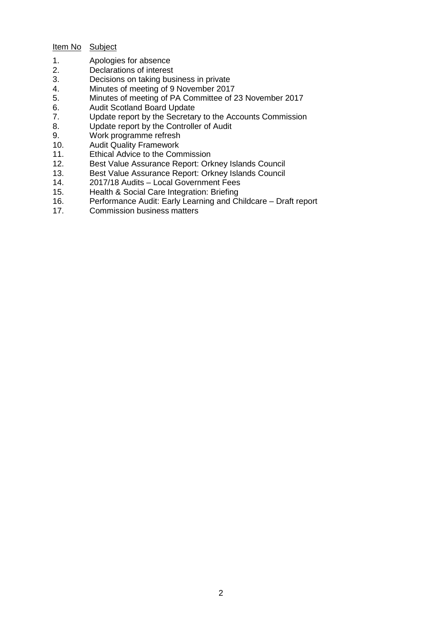# Item No Subject

- 1. Apologies for absence<br>2. Declarations of interest
- 2. Declarations of interest<br>3. Decisions on taking bus
- 3. Decisions on taking business in private<br>4. Minutes of meeting of 9 November 2017
- 4. Minutes of meeting of 9 November 2017
- 5. Minutes of meeting of PA Committee of 23 November 2017
- 6. Audit Scotland Board Update
- 7. Update report by the Secretary to the Accounts Commission<br>8. Update report by the Controller of Audit
- 8. Update report by the Controller of Audit<br>9. Work programme refresh
- 9. Work programme refresh<br>10. Audit Quality Framework
- **Audit Quality Framework**
- 11. Ethical Advice to the Commission
- 12. Best Value Assurance Report: Orkney Islands Council
- 13. Best Value Assurance Report: Orkney Islands Council<br>14. 2017/18 Audits Local Government Fees
- 14. 2017/18 Audits Local Government Fees<br>15. Health & Social Care Integration: Briefing
- 15. Health & Social Care Integration: Briefing<br>16. Performance Audit: Early Learning and Ch
- Performance Audit: Early Learning and Childcare Draft report
- 17. Commission business matters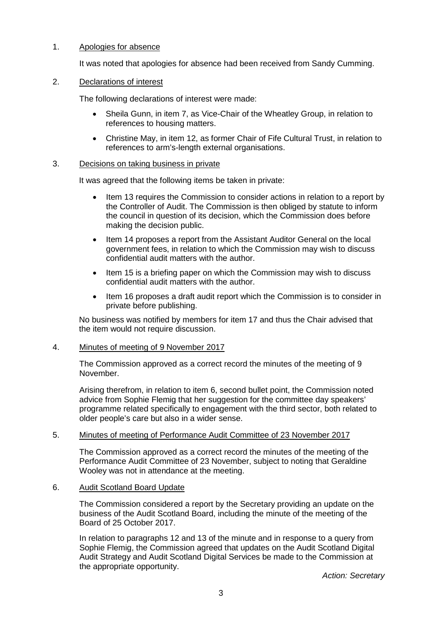# 1. Apologies for absence

It was noted that apologies for absence had been received from Sandy Cumming.

# 2. Declarations of interest

The following declarations of interest were made:

- Sheila Gunn, in item 7, as Vice-Chair of the Wheatley Group, in relation to references to housing matters.
- Christine May, in item 12, as former Chair of Fife Cultural Trust, in relation to references to arm's-length external organisations.

#### 3. Decisions on taking business in private

It was agreed that the following items be taken in private:

- Item 13 requires the Commission to consider actions in relation to a report by the Controller of Audit. The Commission is then obliged by statute to inform the council in question of its decision, which the Commission does before making the decision public.
- Item 14 proposes a report from the Assistant Auditor General on the local government fees, in relation to which the Commission may wish to discuss confidential audit matters with the author.
- Item 15 is a briefing paper on which the Commission may wish to discuss confidential audit matters with the author.
- Item 16 proposes a draft audit report which the Commission is to consider in private before publishing.

No business was notified by members for item 17 and thus the Chair advised that the item would not require discussion.

#### 4. Minutes of meeting of 9 November 2017

The Commission approved as a correct record the minutes of the meeting of 9 November.

Arising therefrom, in relation to item 6, second bullet point, the Commission noted advice from Sophie Flemig that her suggestion for the committee day speakers' programme related specifically to engagement with the third sector, both related to older people's care but also in a wider sense.

# 5. Minutes of meeting of Performance Audit Committee of 23 November 2017

The Commission approved as a correct record the minutes of the meeting of the Performance Audit Committee of 23 November, subject to noting that Geraldine Wooley was not in attendance at the meeting.

# 6. Audit Scotland Board Update

The Commission considered a report by the Secretary providing an update on the business of the Audit Scotland Board, including the minute of the meeting of the Board of 25 October 2017.

In relation to paragraphs 12 and 13 of the minute and in response to a query from Sophie Flemig, the Commission agreed that updates on the Audit Scotland Digital Audit Strategy and Audit Scotland Digital Services be made to the Commission at the appropriate opportunity.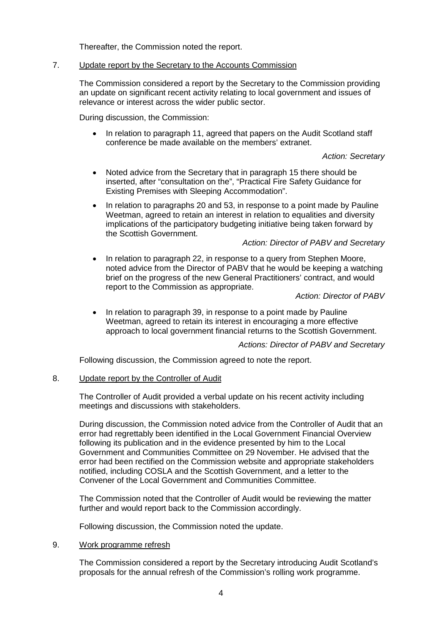Thereafter, the Commission noted the report.

### 7. Update report by the Secretary to the Accounts Commission

The Commission considered a report by the Secretary to the Commission providing an update on significant recent activity relating to local government and issues of relevance or interest across the wider public sector.

During discussion, the Commission:

• In relation to paragraph 11, agreed that papers on the Audit Scotland staff conference be made available on the members' extranet.

# *Action: Secretary*

- Noted advice from the Secretary that in paragraph 15 there should be inserted, after "consultation on the", "Practical Fire Safety Guidance for Existing Premises with Sleeping Accommodation".
- In relation to paragraphs 20 and 53, in response to a point made by Pauline Weetman, agreed to retain an interest in relation to equalities and diversity implications of the participatory budgeting initiative being taken forward by the Scottish Government.

# *Action: Director of PABV and Secretary*

• In relation to paragraph 22, in response to a query from Stephen Moore, noted advice from the Director of PABV that he would be keeping a watching brief on the progress of the new General Practitioners' contract, and would report to the Commission as appropriate.

# *Action: Director of PABV*

• In relation to paragraph 39, in response to a point made by Pauline Weetman, agreed to retain its interest in encouraging a more effective approach to local government financial returns to the Scottish Government.

#### *Actions: Director of PABV and Secretary*

Following discussion, the Commission agreed to note the report.

### 8. Update report by the Controller of Audit

The Controller of Audit provided a verbal update on his recent activity including meetings and discussions with stakeholders.

During discussion, the Commission noted advice from the Controller of Audit that an error had regrettably been identified in the Local Government Financial Overview following its publication and in the evidence presented by him to the Local Government and Communities Committee on 29 November. He advised that the error had been rectified on the Commission website and appropriate stakeholders notified, including COSLA and the Scottish Government, and a letter to the Convener of the Local Government and Communities Committee.

The Commission noted that the Controller of Audit would be reviewing the matter further and would report back to the Commission accordingly.

Following discussion, the Commission noted the update.

#### 9. Work programme refresh

The Commission considered a report by the Secretary introducing Audit Scotland's proposals for the annual refresh of the Commission's rolling work programme.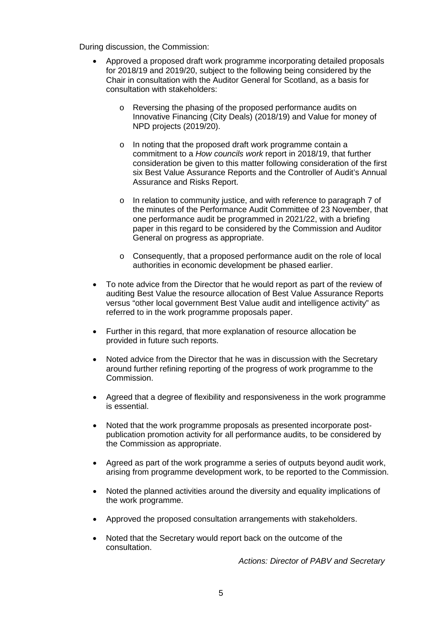During discussion, the Commission:

- Approved a proposed draft work programme incorporating detailed proposals for 2018/19 and 2019/20, subject to the following being considered by the Chair in consultation with the Auditor General for Scotland, as a basis for consultation with stakeholders:
	- o Reversing the phasing of the proposed performance audits on Innovative Financing (City Deals) (2018/19) and Value for money of NPD projects (2019/20).
	- o In noting that the proposed draft work programme contain a commitment to a *How councils work* report in 2018/19, that further consideration be given to this matter following consideration of the first six Best Value Assurance Reports and the Controller of Audit's Annual Assurance and Risks Report.
	- o In relation to community justice, and with reference to paragraph 7 of the minutes of the Performance Audit Committee of 23 November, that one performance audit be programmed in 2021/22, with a briefing paper in this regard to be considered by the Commission and Auditor General on progress as appropriate.
	- o Consequently, that a proposed performance audit on the role of local authorities in economic development be phased earlier.
- To note advice from the Director that he would report as part of the review of auditing Best Value the resource allocation of Best Value Assurance Reports versus "other local government Best Value audit and intelligence activity" as referred to in the work programme proposals paper.
- Further in this regard, that more explanation of resource allocation be provided in future such reports.
- Noted advice from the Director that he was in discussion with the Secretary around further refining reporting of the progress of work programme to the Commission.
- Agreed that a degree of flexibility and responsiveness in the work programme is essential.
- Noted that the work programme proposals as presented incorporate postpublication promotion activity for all performance audits, to be considered by the Commission as appropriate.
- Agreed as part of the work programme a series of outputs beyond audit work, arising from programme development work, to be reported to the Commission.
- Noted the planned activities around the diversity and equality implications of the work programme.
- Approved the proposed consultation arrangements with stakeholders.
- Noted that the Secretary would report back on the outcome of the consultation.

*Actions: Director of PABV and Secretary*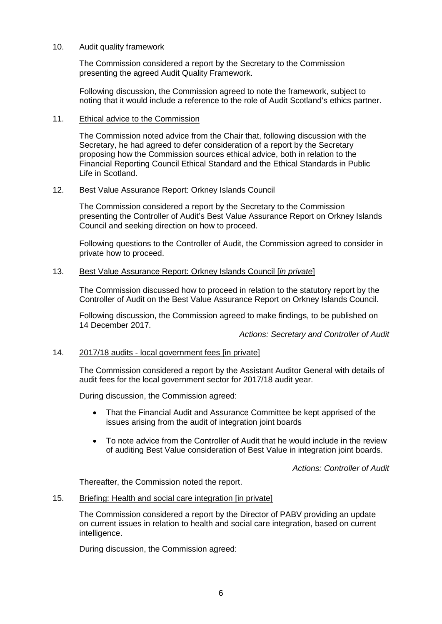# 10. Audit quality framework

The Commission considered a report by the Secretary to the Commission presenting the agreed Audit Quality Framework.

Following discussion, the Commission agreed to note the framework, subject to noting that it would include a reference to the role of Audit Scotland's ethics partner.

#### 11. Ethical advice to the Commission

The Commission noted advice from the Chair that, following discussion with the Secretary, he had agreed to defer consideration of a report by the Secretary proposing how the Commission sources ethical advice, both in relation to the Financial Reporting Council Ethical Standard and the Ethical Standards in Public Life in Scotland.

#### 12. Best Value Assurance Report: Orkney Islands Council

The Commission considered a report by the Secretary to the Commission presenting the Controller of Audit's Best Value Assurance Report on Orkney Islands Council and seeking direction on how to proceed.

Following questions to the Controller of Audit, the Commission agreed to consider in private how to proceed.

# 13. Best Value Assurance Report: Orkney Islands Council [*in private*]

The Commission discussed how to proceed in relation to the statutory report by the Controller of Audit on the Best Value Assurance Report on Orkney Islands Council.

Following discussion, the Commission agreed to make findings, to be published on 14 December 2017.

*Actions: Secretary and Controller of Audit*

# 14. 2017/18 audits - local government fees [in private]

The Commission considered a report by the Assistant Auditor General with details of audit fees for the local government sector for 2017/18 audit year.

During discussion, the Commission agreed:

- That the Financial Audit and Assurance Committee be kept apprised of the issues arising from the audit of integration joint boards
- To note advice from the Controller of Audit that he would include in the review of auditing Best Value consideration of Best Value in integration joint boards.

*Actions: Controller of Audit*

Thereafter, the Commission noted the report.

### 15. Briefing: Health and social care integration [in private]

The Commission considered a report by the Director of PABV providing an update on current issues in relation to health and social care integration, based on current intelligence.

During discussion, the Commission agreed: